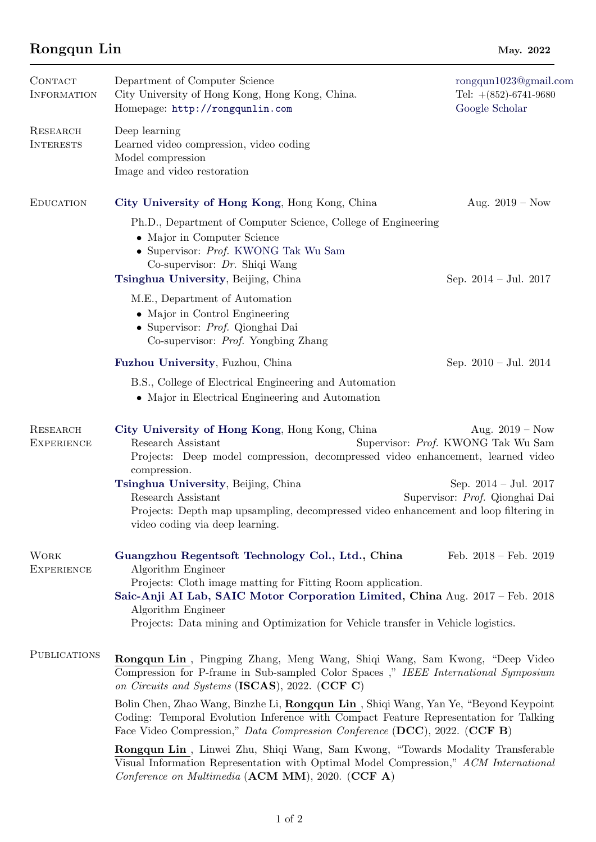## Rongqun Lin May. 2022

| CONTACT<br><b>INFORMATION</b>        | Department of Computer Science<br>City University of Hong Kong, Hong Kong, China.<br>Homepage: http://rongqunlin.com                                                                                                                                                                                                                                                  | rongqun1023@gmail.com<br>Tel: $+(852)$ -6741-9680<br>Google Scholar |  |
|--------------------------------------|-----------------------------------------------------------------------------------------------------------------------------------------------------------------------------------------------------------------------------------------------------------------------------------------------------------------------------------------------------------------------|---------------------------------------------------------------------|--|
| RESEARCH<br><b>INTERESTS</b>         | Deep learning<br>Learned video compression, video coding<br>Model compression<br>Image and video restoration                                                                                                                                                                                                                                                          |                                                                     |  |
| <b>EDUCATION</b>                     | City University of Hong Kong, Hong Kong, China                                                                                                                                                                                                                                                                                                                        | Aug. $2019 - Now$                                                   |  |
|                                      | Ph.D., Department of Computer Science, College of Engineering<br>• Major in Computer Science<br>• Supervisor: Prof. KWONG Tak Wu Sam<br>Co-supervisor: $Dr.$ Shiqi Wang<br>Tsinghua University, Beijing, China                                                                                                                                                        | Sep. $2014 - \text{Jul. } 2017$                                     |  |
|                                      | M.E., Department of Automation<br>• Major in Control Engineering<br>• Supervisor: Prof. Qionghai Dai<br>Co-supervisor: <i>Prof.</i> Yongbing Zhang                                                                                                                                                                                                                    |                                                                     |  |
|                                      | Fuzhou University, Fuzhou, China                                                                                                                                                                                                                                                                                                                                      | Sep. $2010 - \text{Jul. } 2014$                                     |  |
|                                      | B.S., College of Electrical Engineering and Automation<br>• Major in Electrical Engineering and Automation                                                                                                                                                                                                                                                            |                                                                     |  |
| <b>RESEARCH</b><br><b>EXPERIENCE</b> | City University of Hong Kong, Hong Kong, China<br>Aug. $2019 - Now$<br>Research Assistant<br>Supervisor: Prof. KWONG Tak Wu Sam<br>Projects: Deep model compression, decompressed video enhancement, learned video<br>compression.                                                                                                                                    |                                                                     |  |
|                                      | Tsinghua University, Beijing, China<br>Research Assistant<br>Projects: Depth map upsampling, decompressed video enhancement and loop filtering in<br>video coding via deep learning.                                                                                                                                                                                  | Sep. $2014 - \text{Jul. } 2017$<br>Supervisor: Prof. Qionghai Dai   |  |
| <b>WORK</b><br><b>EXPERIENCE</b>     | Guangzhou Regentsoft Technology Col., Ltd., China<br>Feb. $2018 - \text{Feb. } 2019$<br>Algorithm Engineer<br>Projects: Cloth image matting for Fitting Room application.<br>Saic-Anji AI Lab, SAIC Motor Corporation Limited, China Aug. 2017 – Feb. 2018<br>Algorithm Engineer<br>Projects: Data mining and Optimization for Vehicle transfer in Vehicle logistics. |                                                                     |  |
| <b>PUBLICATIONS</b>                  | Rongqun Lin, Pingping Zhang, Meng Wang, Shiqi Wang, Sam Kwong, "Deep Video"<br>Compression for P-frame in Sub-sampled Color Spaces," IEEE International Symposium<br>on Circuits and Systems (ISCAS), 2022. (CCF C)                                                                                                                                                   |                                                                     |  |
|                                      | Bolin Chen, Zhao Wang, Binzhe Li, Rongqun Lin, Shiqi Wang, Yan Ye, "Beyond Keypoint"<br>Coding: Temporal Evolution Inference with Compact Feature Representation for Talking<br>Face Video Compression," Data Compression Conference (DCC), 2022. (CCF B)                                                                                                             |                                                                     |  |
|                                      | Rongqun Lin, Linwei Zhu, Shiqi Wang, Sam Kwong, "Towards Modality Transferable<br>Visual Information Representation with Optimal Model Compression," ACM International<br>Conference on Multimedia (ACM MM), 2020. (CCF A)                                                                                                                                            |                                                                     |  |